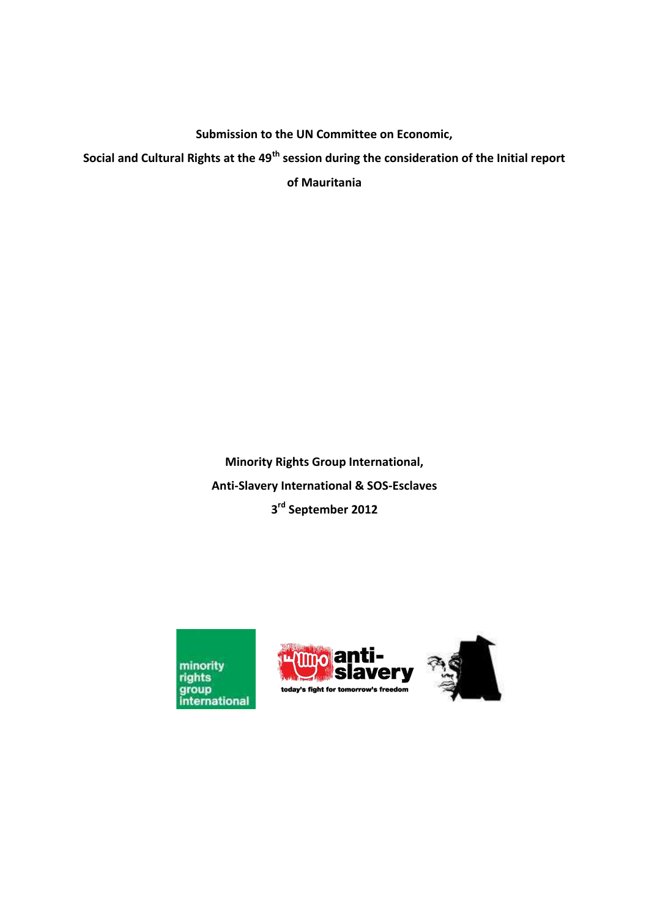**Submission to the UN Committee on Economic,** 

**Social and Cultural Rights at the 49th session during the consideration of the Initial report** 

**of Mauritania** 

**Minority Rights Group International, Anti-Slavery International & SOS-Esclaves 3 rd September 2012** 





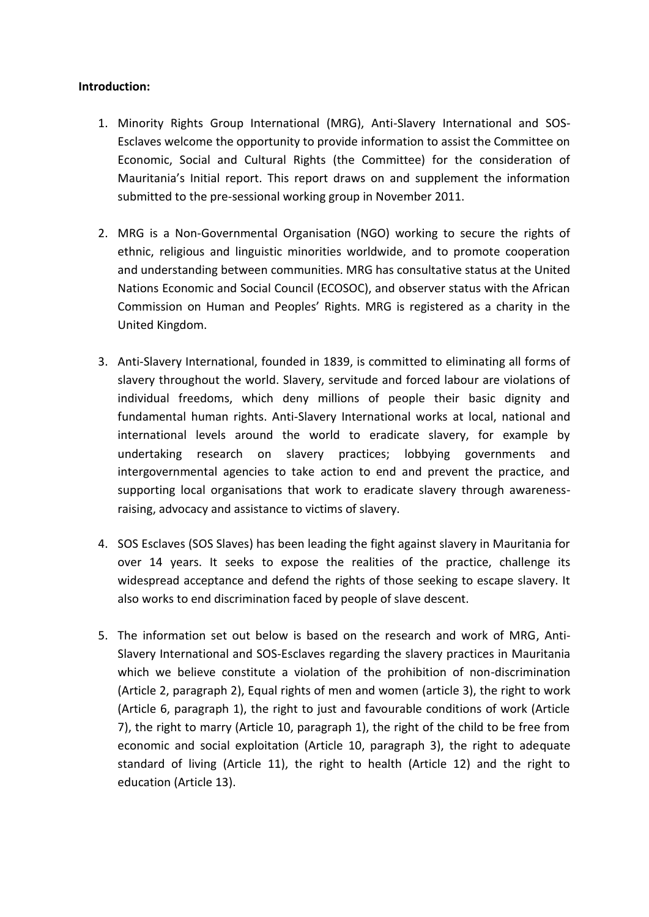## **Introduction:**

- 1. Minority Rights Group International (MRG), Anti-Slavery International and SOS-Esclaves welcome the opportunity to provide information to assist the Committee on Economic, Social and Cultural Rights (the Committee) for the consideration of Mauritania's Initial report. This report draws on and supplement the information submitted to the pre-sessional working group in November 2011.
- 2. MRG is a Non-Governmental Organisation (NGO) working to secure the rights of ethnic, religious and linguistic minorities worldwide, and to promote cooperation and understanding between communities. MRG has consultative status at the United Nations Economic and Social Council (ECOSOC), and observer status with the African Commission on Human and Peoples' Rights. MRG is registered as a charity in the United Kingdom.
- 3. Anti-Slavery International, founded in 1839, is committed to eliminating all forms of slavery throughout the world. Slavery, servitude and forced labour are violations of individual freedoms, which deny millions of people their basic dignity and fundamental human rights. Anti-Slavery International works at local, national and international levels around the world to eradicate slavery, for example by undertaking research on slavery practices; lobbying governments and intergovernmental agencies to take action to end and prevent the practice, and supporting local organisations that work to eradicate slavery through awarenessraising, advocacy and assistance to victims of slavery.
- 4. SOS Esclaves (SOS Slaves) has been leading the fight against slavery in Mauritania for over 14 years. It seeks to expose the realities of the practice, challenge its widespread acceptance and defend the rights of those seeking to escape slavery. It also works to end discrimination faced by people of slave descent.
- 5. The information set out below is based on the research and work of MRG, Anti-Slavery International and SOS-Esclaves regarding the slavery practices in Mauritania which we believe constitute a violation of the prohibition of non-discrimination (Article 2, paragraph 2), Equal rights of men and women (article 3), the right to work (Article 6, paragraph 1), the right to just and favourable conditions of work (Article 7), the right to marry (Article 10, paragraph 1), the right of the child to be free from economic and social exploitation (Article 10, paragraph 3), the right to adequate standard of living (Article 11), the right to health (Article 12) and the right to education (Article 13).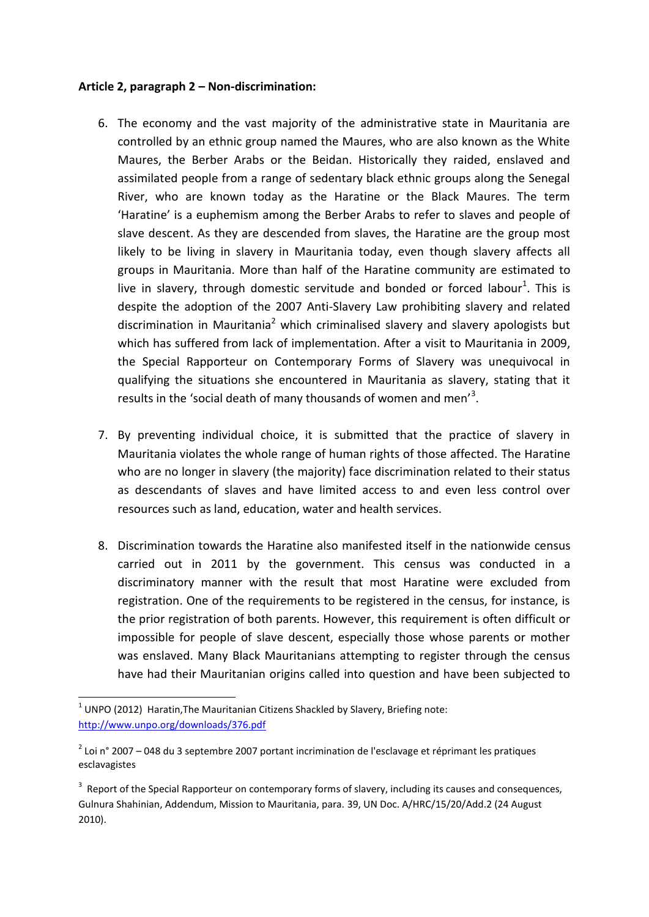## **Article 2, paragraph 2 – Non-discrimination:**

- 6. The economy and the vast majority of the administrative state in Mauritania are controlled by an ethnic group named the Maures, who are also known as the White Maures, the Berber Arabs or the Beidan. Historically they raided, enslaved and assimilated people from a range of sedentary black ethnic groups along the Senegal River, who are known today as the Haratine or the Black Maures. The term 'Haratine' is a euphemism among the Berber Arabs to refer to slaves and people of slave descent. As they are descended from slaves, the Haratine are the group most likely to be living in slavery in Mauritania today, even though slavery affects all groups in Mauritania. More than half of the Haratine community are estimated to live in slavery, through domestic servitude and bonded or forced labour<sup>1</sup>. This is despite the adoption of the 2007 Anti-Slavery Law prohibiting slavery and related discrimination in Mauritania<sup>2</sup> which criminalised slavery and slavery apologists but which has suffered from lack of implementation. After a visit to Mauritania in 2009, the Special Rapporteur on Contemporary Forms of Slavery was unequivocal in qualifying the situations she encountered in Mauritania as slavery, stating that it results in the 'social death of many thousands of women and men'<sup>3</sup>.
- 7. By preventing individual choice, it is submitted that the practice of slavery in Mauritania violates the whole range of human rights of those affected. The Haratine who are no longer in slavery (the majority) face discrimination related to their status as descendants of slaves and have limited access to and even less control over resources such as land, education, water and health services.
- 8. Discrimination towards the Haratine also manifested itself in the nationwide census carried out in 2011 by the government. This census was conducted in a discriminatory manner with the result that most Haratine were excluded from registration. One of the requirements to be registered in the census, for instance, is the prior registration of both parents. However, this requirement is often difficult or impossible for people of slave descent, especially those whose parents or mother was enslaved. Many Black Mauritanians attempting to register through the census have had their Mauritanian origins called into question and have been subjected to

.<br>-

 $1$  UNPO (2012) Haratin, The Mauritanian Citizens Shackled by Slavery, Briefing note: <http://www.unpo.org/downloads/376.pdf>

<sup>&</sup>lt;sup>2</sup> Loi n° 2007 – 048 du 3 septembre 2007 portant incrimination de l'esclavage et réprimant les pratiques esclavagistes

 $3$  Report of the Special Rapporteur on contemporary forms of slavery, including its causes and consequences, Gulnura Shahinian, Addendum, Mission to Mauritania, para. 39, UN Doc. A/HRC/15/20/Add.2 (24 August 2010).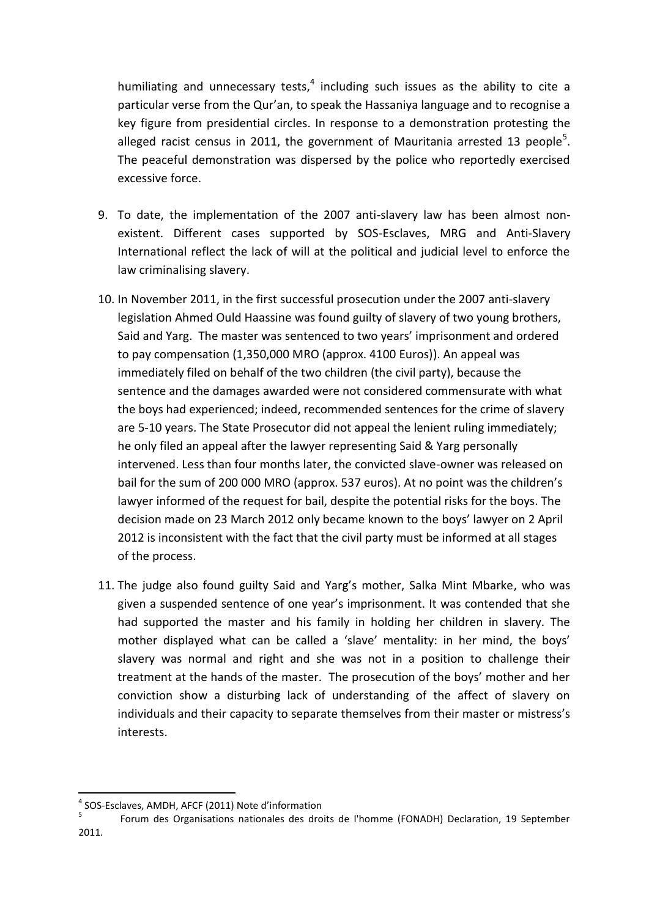humiliating and unnecessary tests,  $4$  including such issues as the ability to cite a particular verse from the Qur'an, to speak the Hassaniya language and to recognise a key figure from presidential circles. In response to a demonstration protesting the alleged racist census in 2011, the government of Mauritania arrested 13 people<sup>5</sup>. The peaceful demonstration was dispersed by the police who reportedly exercised excessive force.

- 9. To date, the implementation of the 2007 anti-slavery law has been almost nonexistent. Different cases supported by SOS-Esclaves, MRG and Anti-Slavery International reflect the lack of will at the political and judicial level to enforce the law criminalising slavery.
- 10. In November 2011, in the first successful prosecution under the 2007 anti-slavery legislation Ahmed Ould Haassine was found guilty of slavery of two young brothers, Said and Yarg. The master was sentenced to two years' imprisonment and ordered to pay compensation (1,350,000 MRO (approx. 4100 Euros)). An appeal was immediately filed on behalf of the two children (the civil party), because the sentence and the damages awarded were not considered commensurate with what the boys had experienced; indeed, recommended sentences for the crime of slavery are 5-10 years. The State Prosecutor did not appeal the lenient ruling immediately; he only filed an appeal after the lawyer representing Said & Yarg personally intervened. Less than four months later, the convicted slave-owner was released on bail for the sum of 200 000 MRO (approx. 537 euros). At no point was the children's lawyer informed of the request for bail, despite the potential risks for the boys. The decision made on 23 March 2012 only became known to the boys' lawyer on 2 April 2012 is inconsistent with the fact that the civil party must be informed at all stages of the process.
- 11. The judge also found guilty Said and Yarg's mother, Salka Mint Mbarke, who was given a suspended sentence of one year's imprisonment. It was contended that she had supported the master and his family in holding her children in slavery. The mother displayed what can be called a 'slave' mentality: in her mind, the boys' slavery was normal and right and she was not in a position to challenge their treatment at the hands of the master. The prosecution of the boys' mother and her conviction show a disturbing lack of understanding of the affect of slavery on individuals and their capacity to separate themselves from their master or mistress's interests.

SOS-Esclaves, AMDH, AFCF (2011) Note d'information

 $\overline{\mathbf{5}}$ Forum des Organisations nationales des droits de l'homme (FONADH) Declaration, 19 September  $2011.$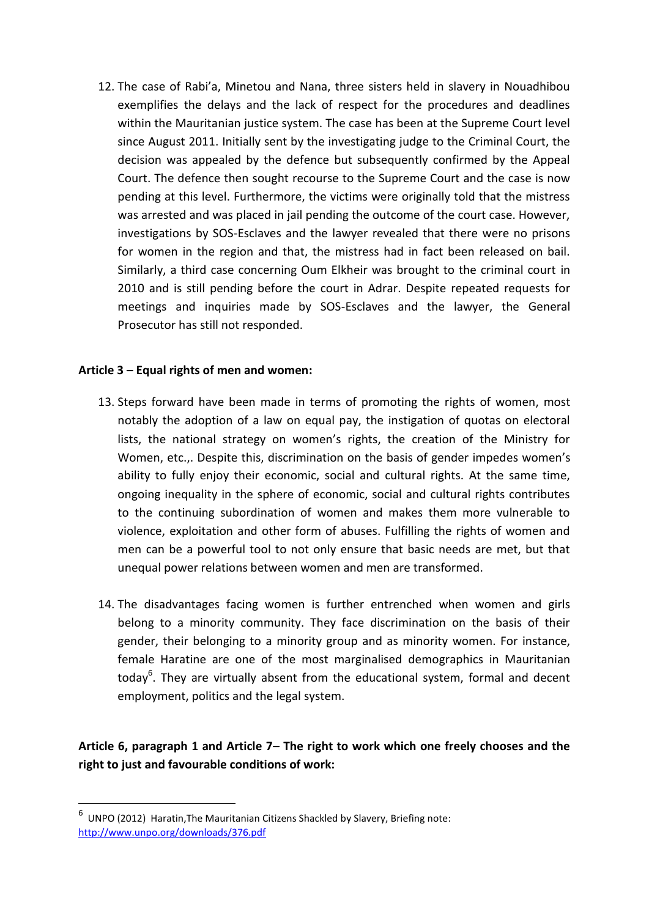12. The case of Rabi'a, Minetou and Nana, three sisters held in slavery in Nouadhibou exemplifies the delays and the lack of respect for the procedures and deadlines within the Mauritanian justice system. The case has been at the Supreme Court level since August 2011. Initially sent by the investigating judge to the Criminal Court, the decision was appealed by the defence but subsequently confirmed by the Appeal Court. The defence then sought recourse to the Supreme Court and the case is now pending at this level. Furthermore, the victims were originally told that the mistress was arrested and was placed in jail pending the outcome of the court case. However, investigations by SOS-Esclaves and the lawyer revealed that there were no prisons for women in the region and that, the mistress had in fact been released on bail. Similarly, a third case concerning Oum Elkheir was brought to the criminal court in 2010 and is still pending before the court in Adrar. Despite repeated requests for meetings and inquiries made by SOS-Esclaves and the lawyer, the General Prosecutor has still not responded.

## **Article 3 – Equal rights of men and women:**

- 13. Steps forward have been made in terms of promoting the rights of women, most notably the adoption of a law on equal pay, the instigation of quotas on electoral lists, the national strategy on women's rights, the creation of the Ministry for Women, etc.,. Despite this, discrimination on the basis of gender impedes women's ability to fully enjoy their economic, social and cultural rights. At the same time, ongoing inequality in the sphere of economic, social and cultural rights contributes to the continuing subordination of women and makes them more vulnerable to violence, exploitation and other form of abuses. Fulfilling the rights of women and men can be a powerful tool to not only ensure that basic needs are met, but that unequal power relations between women and men are transformed.
- 14. The disadvantages facing women is further entrenched when women and girls belong to a minority community. They face discrimination on the basis of their gender, their belonging to a minority group and as minority women. For instance, female Haratine are one of the most marginalised demographics in Mauritanian today<sup>6</sup>. They are virtually absent from the educational system, formal and decent employment, politics and the legal system.

**Article 6, paragraph 1 and Article 7– The right to work which one freely chooses and the right to just and favourable conditions of work:** 

.<br>-

 $^6$  UNPO (2012) Haratin, The Mauritanian Citizens Shackled by Slavery, Briefing note: <http://www.unpo.org/downloads/376.pdf>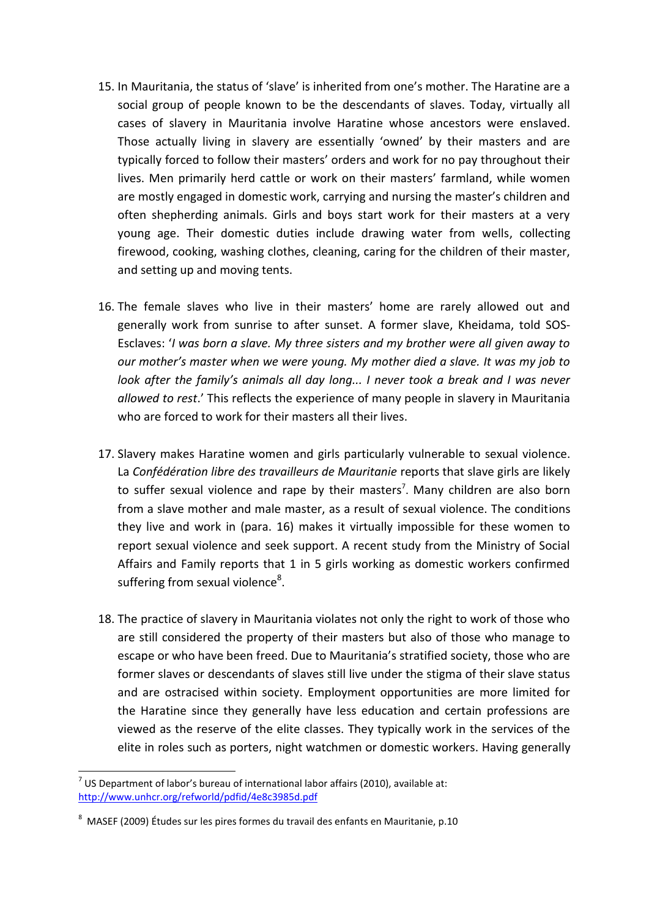- 15. In Mauritania, the status of 'slave' is inherited from one's mother. The Haratine are a social group of people known to be the descendants of slaves. Today, virtually all cases of slavery in Mauritania involve Haratine whose ancestors were enslaved. Those actually living in slavery are essentially 'owned' by their masters and are typically forced to follow their masters' orders and work for no pay throughout their lives. Men primarily herd cattle or work on their masters' farmland, while women are mostly engaged in domestic work, carrying and nursing the master's children and often shepherding animals. Girls and boys start work for their masters at a very young age. Their domestic duties include drawing water from wells, collecting firewood, cooking, washing clothes, cleaning, caring for the children of their master, and setting up and moving tents.
- 16. The female slaves who live in their masters' home are rarely allowed out and generally work from sunrise to after sunset. A former slave, Kheidama, told SOS-Esclaves: 'I was born a slave. My three sisters and my brother were all given away to our mother's master when we were young. My mother died a slave. It was my job to look after the family's animals all day long... I never took a break and I was never allowed to rest.' This reflects the experience of many people in slavery in Mauritania who are forced to work for their masters all their lives.
- 17. Slavery makes Haratine women and girls particularly vulnerable to sexual violence. La Confédération libre des travailleurs de Mauritanie reports that slave girls are likely to suffer sexual violence and rape by their masters<sup>7</sup>. Many children are also born from a slave mother and male master, as a result of sexual violence. The conditions they live and work in (para. 16) makes it virtually impossible for these women to report sexual violence and seek support. A recent study from the Ministry of Social Affairs and Family reports that 1 in 5 girls working as domestic workers confirmed suffering from sexual violence<sup>8</sup>.
- 18. The practice of slavery in Mauritania violates not only the right to work of those who are still considered the property of their masters but also of those who manage to escape or who have been freed. Due to Mauritania's stratified society, those who are former slaves or descendants of slaves still live under the stigma of their slave status and are ostracised within society. Employment opportunities are more limited for the Haratine since they generally have less education and certain professions are viewed as the reserve of the elite classes. They typically work in the services of the elite in roles such as porters, night watchmen or domestic workers. Having generally

 $^7$  US Department of labor's bureau of international labor affairs (2010), available at: http://www.unhcr.org/refworld/pdfid/4e8c3985d.pdf

<sup>&</sup>lt;sup>8</sup> MASEF (2009) Études sur les pires formes du travail des enfants en Mauritanie, p.10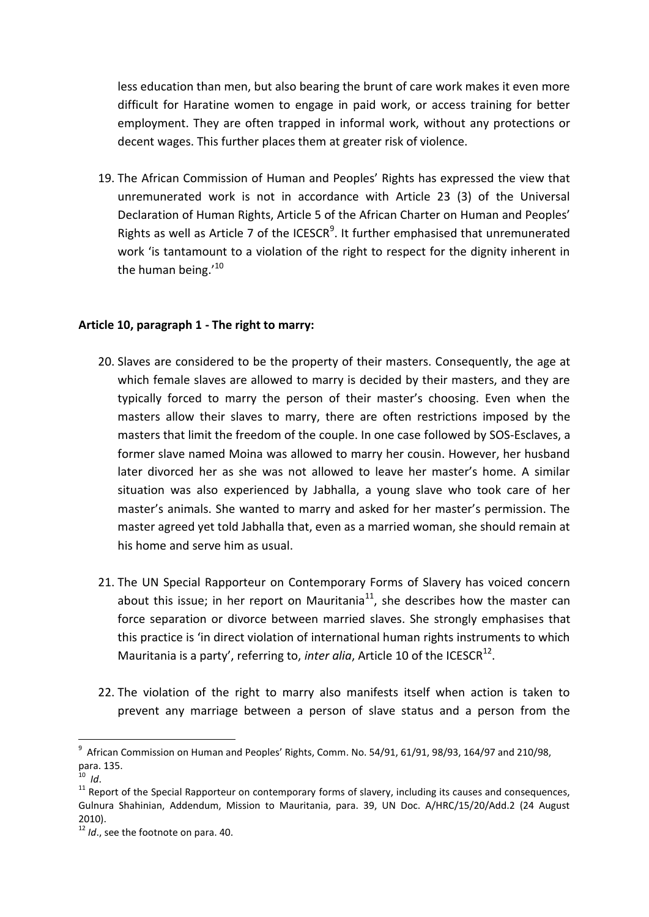less education than men, but also bearing the brunt of care work makes it even more difficult for Haratine women to engage in paid work, or access training for better employment. They are often trapped in informal work, without any protections or decent wages. This further places them at greater risk of violence.

19. The African Commission of Human and Peoples' Rights has expressed the view that unremunerated work is not in accordance with Article 23 (3) of the Universal Declaration of Human Rights, Article 5 of the African Charter on Human and Peoples' Rights as well as Article 7 of the ICESCR<sup>9</sup>. It further emphasised that unremunerated work 'is tantamount to a violation of the right to respect for the dignity inherent in the human being.'<sup>10</sup>

## Article 10, paragraph 1 - The right to marry:

- 20. Slaves are considered to be the property of their masters. Consequently, the age at which female slaves are allowed to marry is decided by their masters, and they are typically forced to marry the person of their master's choosing. Even when the masters allow their slaves to marry, there are often restrictions imposed by the masters that limit the freedom of the couple. In one case followed by SOS-Esclaves, a former slave named Moina was allowed to marry her cousin. However, her husband later divorced her as she was not allowed to leave her master's home. A similar situation was also experienced by Jabhalla, a young slave who took care of her master's animals. She wanted to marry and asked for her master's permission. The master agreed yet told Jabhalla that, even as a married woman, she should remain at his home and serve him as usual.
- 21. The UN Special Rapporteur on Contemporary Forms of Slavery has voiced concern about this issue; in her report on Mauritania $^{11}$ , she describes how the master can force separation or divorce between married slaves. She strongly emphasises that this practice is 'in direct violation of international human rights instruments to which Mauritania is a party', referring to, inter alia, Article 10 of the ICESCR<sup>12</sup>.
- 22. The violation of the right to marry also manifests itself when action is taken to prevent any marriage between a person of slave status and a person from the

 $9$  African Commission on Human and Peoples' Rights, Comm. No. 54/91, 61/91, 98/93, 164/97 and 210/98, para. 135.

 $^{10}$  Id.

<sup>&</sup>lt;sup>11</sup> Report of the Special Rapporteur on contemporary forms of slavery, including its causes and consequences, Gulnura Shahinian, Addendum, Mission to Mauritania, para. 39, UN Doc. A/HRC/15/20/Add.2 (24 August  $2010$ ).

 $12$  *ld.* see the footnote on para. 40.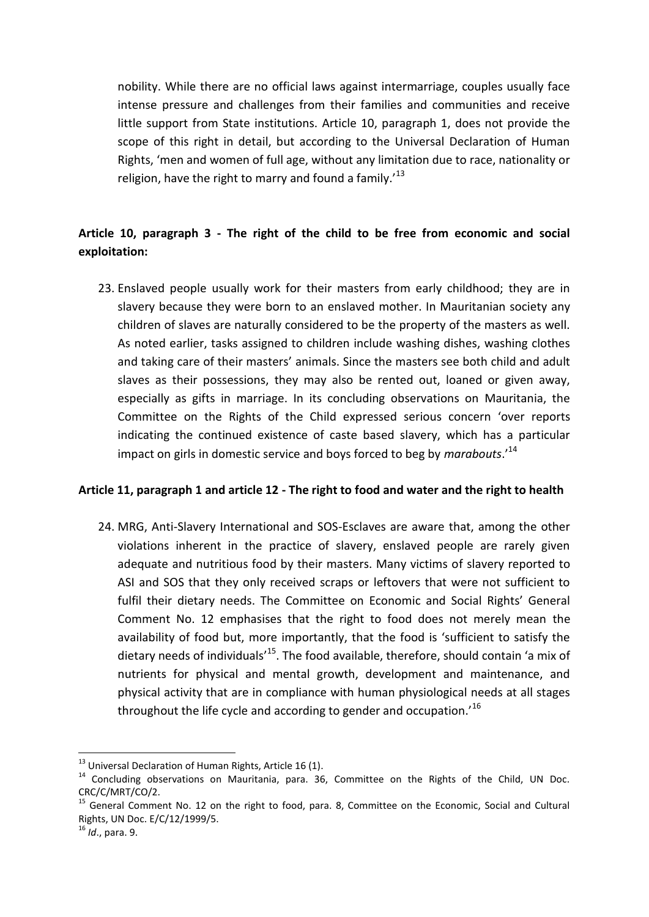nobility. While there are no official laws against intermarriage, couples usually face intense pressure and challenges from their families and communities and receive little support from State institutions. Article 10, paragraph 1, does not provide the scope of this right in detail, but according to the Universal Declaration of Human Rights, 'men and women of full age, without any limitation due to race, nationality or religion, have the right to marry and found a family.<sup>13</sup>

# Article 10, paragraph 3 - The right of the child to be free from economic and social exploitation:

23. Enslaved people usually work for their masters from early childhood; they are in slavery because they were born to an enslaved mother. In Mauritanian society any children of slaves are naturally considered to be the property of the masters as well. As noted earlier, tasks assigned to children include washing dishes, washing clothes and taking care of their masters' animals. Since the masters see both child and adult slaves as their possessions, they may also be rented out, loaned or given away, especially as gifts in marriage. In its concluding observations on Mauritania, the Committee on the Rights of the Child expressed serious concern 'over reports indicating the continued existence of caste based slavery, which has a particular impact on girls in domestic service and boys forced to beg by marabouts.'<sup>14</sup>

## Article 11, paragraph 1 and article 12 - The right to food and water and the right to health

24. MRG, Anti-Slavery International and SOS-Esclaves are aware that, among the other violations inherent in the practice of slavery, enslaved people are rarely given adequate and nutritious food by their masters. Many victims of slavery reported to ASI and SOS that they only received scraps or leftovers that were not sufficient to fulfil their dietary needs. The Committee on Economic and Social Rights' General Comment No. 12 emphasises that the right to food does not merely mean the availability of food but, more importantly, that the food is 'sufficient to satisfy the dietary needs of individuals<sup>15</sup>. The food available, therefore, should contain 'a mix of nutrients for physical and mental growth, development and maintenance, and physical activity that are in compliance with human physiological needs at all stages throughout the life cycle and according to gender and occupation.<sup>16</sup>

<sup>&</sup>lt;sup>13</sup> Universal Declaration of Human Rights, Article 16 (1).

<sup>&</sup>lt;sup>14</sup> Concluding observations on Mauritania, para. 36, Committee on the Rights of the Child, UN Doc. CRC/C/MRT/CO/2.

<sup>&</sup>lt;sup>15</sup> General Comment No. 12 on the right to food, para. 8, Committee on the Economic, Social and Cultural Rights, UN Doc. E/C/12/1999/5.

 $16$  *Id.*, para, 9.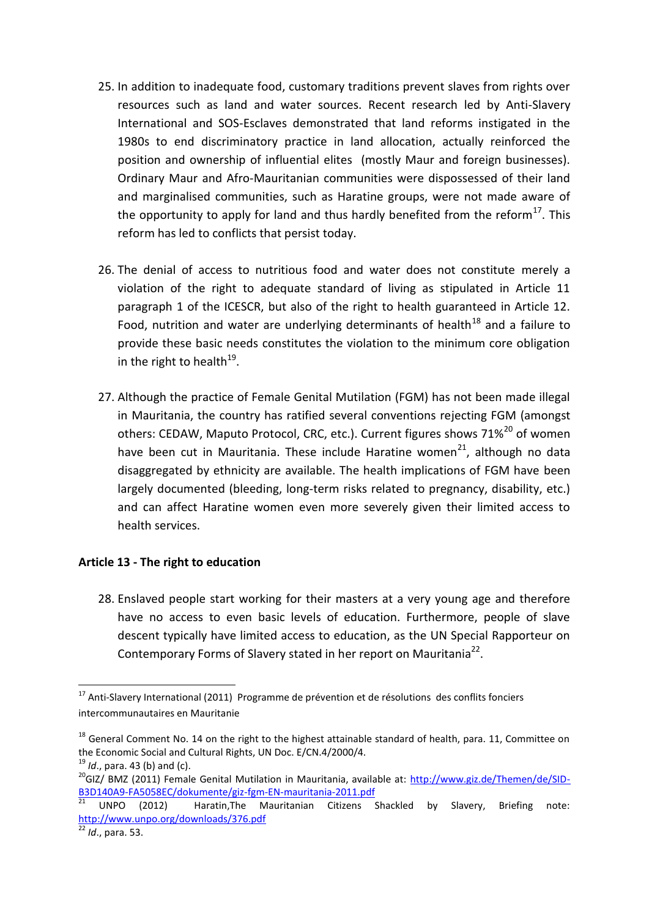- 25. In addition to inadequate food, customary traditions prevent slaves from rights over resources such as land and water sources. Recent research led by Anti-Slavery International and SOS-Esclaves demonstrated that land reforms instigated in the 1980s to end discriminatory practice in land allocation, actually reinforced the position and ownership of influential elites (mostly Maur and foreign businesses). Ordinary Maur and Afro-Mauritanian communities were dispossessed of their land and marginalised communities, such as Haratine groups, were not made aware of the opportunity to apply for land and thus hardly benefited from the reform $^{17}$ . This reform has led to conflicts that persist today.
- 26. The denial of access to nutritious food and water does not constitute merely a violation of the right to adequate standard of living as stipulated in Article 11 paragraph 1 of the ICESCR, but also of the right to health guaranteed in Article 12. Food, nutrition and water are underlying determinants of health<sup>18</sup> and a failure to provide these basic needs constitutes the violation to the minimum core obligation in the right to health<sup>19</sup>.
- 27. Although the practice of Female Genital Mutilation (FGM) has not been made illegal in Mauritania, the country has ratified several conventions rejecting FGM (amongst others: CEDAW, Maputo Protocol, CRC, etc.). Current figures shows 71%<sup>20</sup> of women have been cut in Mauritania. These include Haratine women<sup>21</sup>, although no data disaggregated by ethnicity are available. The health implications of FGM have been largely documented (bleeding, long-term risks related to pregnancy, disability, etc.) and can affect Haratine women even more severely given their limited access to health services.

## **Article 13 - The right to education**

28. Enslaved people start working for their masters at a very young age and therefore have no access to even basic levels of education. Furthermore, people of slave descent typically have limited access to education, as the UN Special Rapporteur on Contemporary Forms of Slavery stated in her report on Mauritania<sup>22</sup>.

-

<sup>&</sup>lt;sup>17</sup> Anti-Slavery International (2011) Programme de prévention et de résolutions des conflits fonciers intercommunautaires en Mauritanie

 $18$  General Comment No. 14 on the right to the highest attainable standard of health, para. 11, Committee on the Economic Social and Cultural Rights, UN Doc. E/CN.4/2000/4.

<sup>19</sup> *Id*., para. 43 (b) and (c).

<sup>&</sup>lt;sup>20</sup>GIZ/ BMZ (2011) Female Genital Mutilation in Mauritania, available at: [http://www.giz.de/Themen/de/SID-](http://www.giz.de/Themen/de/SID-B3D140A9-FA5058EC/dokumente/giz-fgm-EN-mauritania-2011.pdf)B3D140A9-FA5058EC/dokumente/giz-fgm-EN-mauritania-2011.pdf<br>21 views

<sup>21</sup> UNPO (2012) Haratin,The Mauritanian Citizens Shackled by Slavery, Briefing note: <http://www.unpo.org/downloads/376.pdf>

<sup>22</sup> *Id*., para. 53.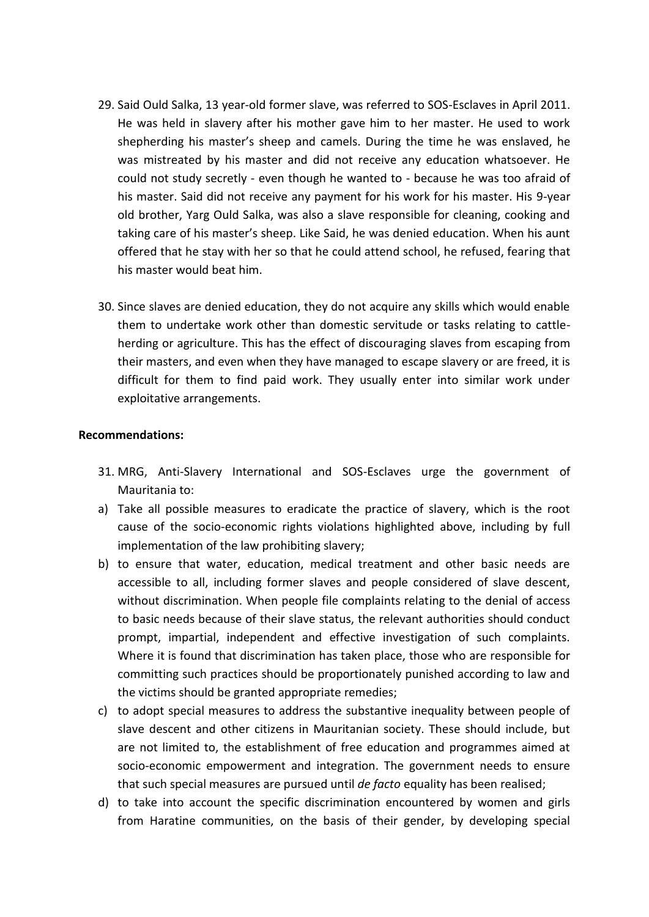- 29. Said Ould Salka, 13 year-old former slave, was referred to SOS-Esclaves in April 2011. He was held in slavery after his mother gave him to her master. He used to work shepherding his master's sheep and camels. During the time he was enslaved, he was mistreated by his master and did not receive any education whatsoever. He could not study secretly - even though he wanted to - because he was too afraid of his master. Said did not receive any payment for his work for his master. His 9-year old brother, Yarg Ould Salka, was also a slave responsible for cleaning, cooking and taking care of his master's sheep. Like Said, he was denied education. When his aunt offered that he stay with her so that he could attend school, he refused, fearing that his master would beat him.
- 30. Since slaves are denied education, they do not acquire any skills which would enable them to undertake work other than domestic servitude or tasks relating to cattleherding or agriculture. This has the effect of discouraging slaves from escaping from their masters, and even when they have managed to escape slavery or are freed, it is difficult for them to find paid work. They usually enter into similar work under exploitative arrangements.

### **Recommendations:**

- 31. MRG, Anti-Slavery International and SOS-Esclaves urge the government of Mauritania to:
- a) Take all possible measures to eradicate the practice of slavery, which is the root cause of the socio-economic rights violations highlighted above, including by full implementation of the law prohibiting slavery;
- b) to ensure that water, education, medical treatment and other basic needs are accessible to all, including former slaves and people considered of slave descent, without discrimination. When people file complaints relating to the denial of access to basic needs because of their slave status, the relevant authorities should conduct prompt, impartial, independent and effective investigation of such complaints. Where it is found that discrimination has taken place, those who are responsible for committing such practices should be proportionately punished according to law and the victims should be granted appropriate remedies;
- c) to adopt special measures to address the substantive inequality between people of slave descent and other citizens in Mauritanian society. These should include, but are not limited to, the establishment of free education and programmes aimed at socio-economic empowerment and integration. The government needs to ensure that such special measures are pursued until *de facto* equality has been realised;
- d) to take into account the specific discrimination encountered by women and girls from Haratine communities, on the basis of their gender, by developing special